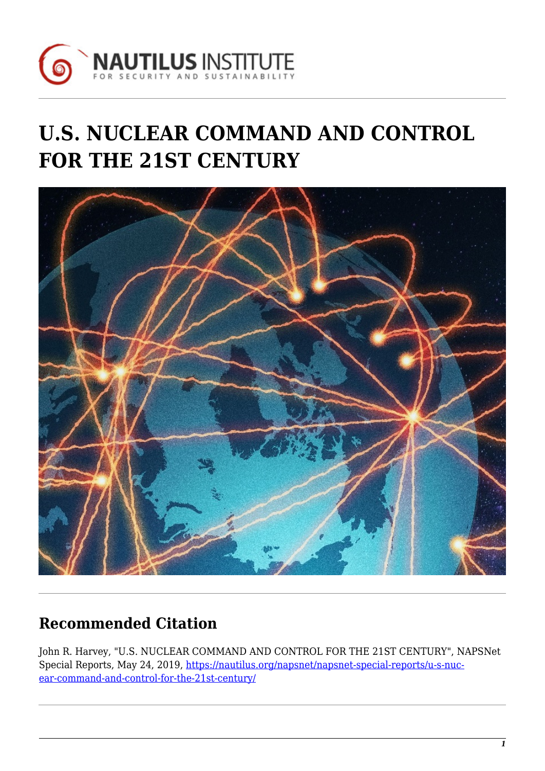

# **U.S. NUCLEAR COMMAND AND CONTROL FOR THE 21ST CENTURY**



# **Recommended Citation**

John R. Harvey, "U.S. NUCLEAR COMMAND AND CONTROL FOR THE 21ST CENTURY", NAPSNet Special Reports, May 24, 2019, [https://nautilus.org/napsnet/napsnet-special-reports/u-s-nuc](https://nautilus.org/napsnet/napsnet-special-reports/u-s-nuclear-command-and-control-for-the-21st-century/)[ear-command-and-control-for-the-21st-century/](https://nautilus.org/napsnet/napsnet-special-reports/u-s-nuclear-command-and-control-for-the-21st-century/)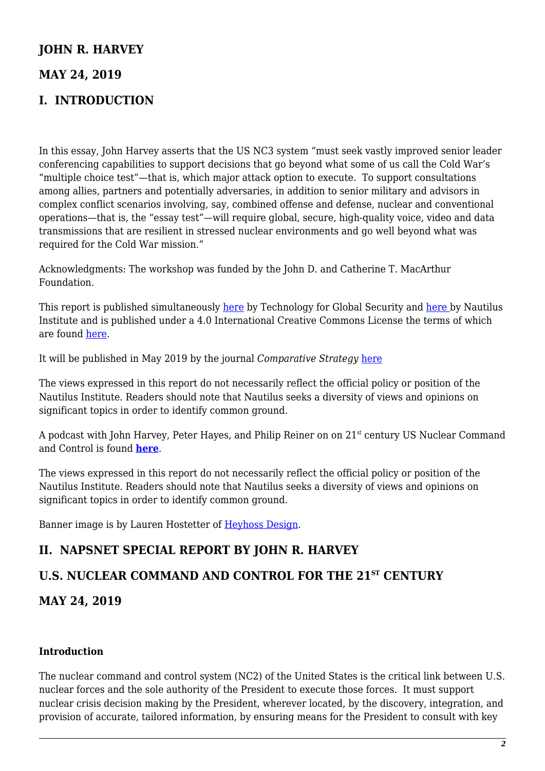# **JOHN R. HARVEY**

# **MAY 24, 2019**

# **I. INTRODUCTION**

In this essay, John Harvey asserts that the US NC3 system "must seek vastly improved senior leader conferencing capabilities to support decisions that go beyond what some of us call the Cold War's "multiple choice test"—that is, which major attack option to execute. To support consultations among allies, partners and potentially adversaries, in addition to senior military and advisors in complex conflict scenarios involving, say, combined offense and defense, nuclear and conventional operations—that is, the "essay test"—will require global, secure, high-quality voice, video and data transmissions that are resilient in stressed nuclear environments and go well beyond what was required for the Cold War mission."

Acknowledgments: The workshop was funded by the John D. and Catherine T. MacArthur Foundation.

This report is published simultaneously [here](https://www.tech4gs.org/nc3-systems-and-strategic-stability-a-global-overview.html) by Technology for Global Security and [here b](https://nautilus.org/?p=97811)y Nautilus Institute and is published under a 4.0 International Creative Commons License the terms of which are found [here.](https://creativecommons.org/licenses/by-nc-sa/4.0/)

It will be published in May 2019 by the journal *Comparative Strategy* [here](https://www.tandfonline.com/loi/ucst20)

The views expressed in this report do not necessarily reflect the official policy or position of the Nautilus Institute. Readers should note that Nautilus seeks a diversity of views and opinions on significant topics in order to identify common ground.

A podcast with John Harvey, Peter Hayes, and Philip Reiner on on 21<sup>st</sup> century US Nuclear Command and Control is found **[here](https://www.tech4gs.org/nc3-systems-and-strategic-stability-a-global-overview.html)**.

The views expressed in this report do not necessarily reflect the official policy or position of the Nautilus Institute. Readers should note that Nautilus seeks a diversity of views and opinions on significant topics in order to identify common ground.

Banner image is by Lauren Hostetter of [Heyhoss Design.](http://heyhoss.design/)

# **II. NAPSNET SPECIAL REPORT BY JOHN R. HARVEY**

# **U.S. NUCLEAR COMMAND AND CONTROL FOR THE 21ST CENTURY**

#### **MAY 24, 2019**

#### **Introduction**

The nuclear command and control system (NC2) of the United States is the critical link between U.S. nuclear forces and the sole authority of the President to execute those forces. It must support nuclear crisis decision making by the President, wherever located, by the discovery, integration, and provision of accurate, tailored information, by ensuring means for the President to consult with key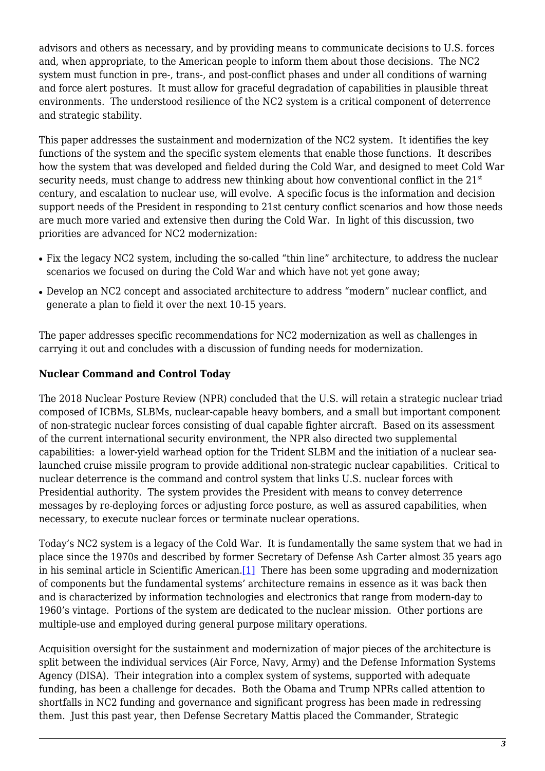advisors and others as necessary, and by providing means to communicate decisions to U.S. forces and, when appropriate, to the American people to inform them about those decisions. The NC2 system must function in pre-, trans-, and post-conflict phases and under all conditions of warning and force alert postures. It must allow for graceful degradation of capabilities in plausible threat environments. The understood resilience of the NC2 system is a critical component of deterrence and strategic stability.

This paper addresses the sustainment and modernization of the NC2 system. It identifies the key functions of the system and the specific system elements that enable those functions. It describes how the system that was developed and fielded during the Cold War, and designed to meet Cold War security needs, must change to address new thinking about how conventional conflict in the  $21<sup>st</sup>$ century, and escalation to nuclear use, will evolve. A specific focus is the information and decision support needs of the President in responding to 21st century conflict scenarios and how those needs are much more varied and extensive then during the Cold War. In light of this discussion, two priorities are advanced for NC2 modernization:

- Fix the legacy NC2 system, including the so-called "thin line" architecture, to address the nuclear scenarios we focused on during the Cold War and which have not yet gone away;
- Develop an NC2 concept and associated architecture to address "modern" nuclear conflict, and generate a plan to field it over the next 10-15 years.

The paper addresses specific recommendations for NC2 modernization as well as challenges in carrying it out and concludes with a discussion of funding needs for modernization.

#### **Nuclear Command and Control Today**

The 2018 Nuclear Posture Review (NPR) concluded that the U.S. will retain a strategic nuclear triad composed of ICBMs, SLBMs, nuclear-capable heavy bombers, and a small but important component of non-strategic nuclear forces consisting of dual capable fighter aircraft. Based on its assessment of the current international security environment, the NPR also directed two supplemental capabilities: a lower-yield warhead option for the Trident SLBM and the initiation of a nuclear sealaunched cruise missile program to provide additional non-strategic nuclear capabilities. Critical to nuclear deterrence is the command and control system that links U.S. nuclear forces with Presidential authority. The system provides the President with means to convey deterrence messages by re-deploying forces or adjusting force posture, as well as assured capabilities, when necessary, to execute nuclear forces or terminate nuclear operations.

<span id="page-2-0"></span>Today's NC2 system is a legacy of the Cold War. It is fundamentally the same system that we had in place since the 1970s and described by former Secretary of Defense Ash Carter almost 35 years ago in his seminal article in Scientific American.[\[1\]](#page-13-0) There has been some upgrading and modernization of components but the fundamental systems' architecture remains in essence as it was back then and is characterized by information technologies and electronics that range from modern-day to 1960's vintage. Portions of the system are dedicated to the nuclear mission. Other portions are multiple-use and employed during general purpose military operations.

Acquisition oversight for the sustainment and modernization of major pieces of the architecture is split between the individual services (Air Force, Navy, Army) and the Defense Information Systems Agency (DISA). Their integration into a complex system of systems, supported with adequate funding, has been a challenge for decades. Both the Obama and Trump NPRs called attention to shortfalls in NC2 funding and governance and significant progress has been made in redressing them. Just this past year, then Defense Secretary Mattis placed the Commander, Strategic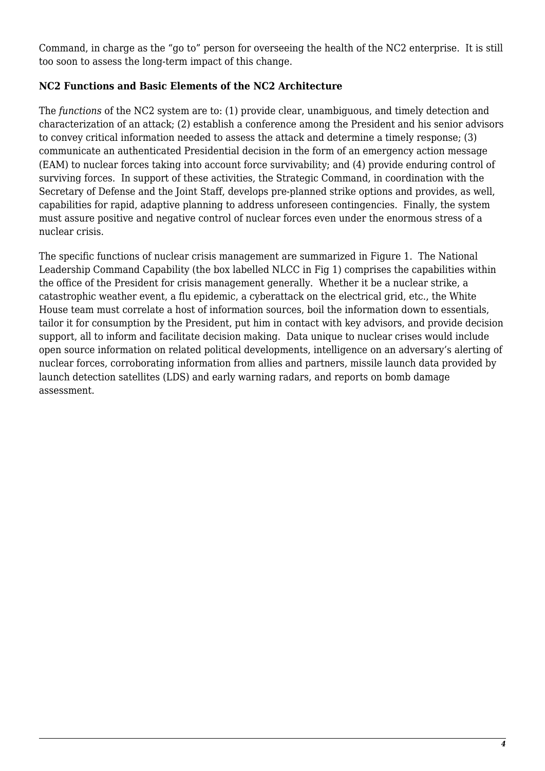Command, in charge as the "go to" person for overseeing the health of the NC2 enterprise. It is still too soon to assess the long-term impact of this change.

#### **NC2 Functions and Basic Elements of the NC2 Architecture**

The *functions* of the NC2 system are to: (1) provide clear, unambiguous, and timely detection and characterization of an attack; (2) establish a conference among the President and his senior advisors to convey critical information needed to assess the attack and determine a timely response; (3) communicate an authenticated Presidential decision in the form of an emergency action message (EAM) to nuclear forces taking into account force survivability; and (4) provide enduring control of surviving forces. In support of these activities, the Strategic Command, in coordination with the Secretary of Defense and the Joint Staff, develops pre-planned strike options and provides, as well, capabilities for rapid, adaptive planning to address unforeseen contingencies. Finally, the system must assure positive and negative control of nuclear forces even under the enormous stress of a nuclear crisis.

The specific functions of nuclear crisis management are summarized in Figure 1. The National Leadership Command Capability (the box labelled NLCC in Fig 1) comprises the capabilities within the office of the President for crisis management generally. Whether it be a nuclear strike, a catastrophic weather event, a flu epidemic, a cyberattack on the electrical grid, etc., the White House team must correlate a host of information sources, boil the information down to essentials, tailor it for consumption by the President, put him in contact with key advisors, and provide decision support, all to inform and facilitate decision making. Data unique to nuclear crises would include open source information on related political developments, intelligence on an adversary's alerting of nuclear forces, corroborating information from allies and partners, missile launch data provided by launch detection satellites (LDS) and early warning radars, and reports on bomb damage assessment.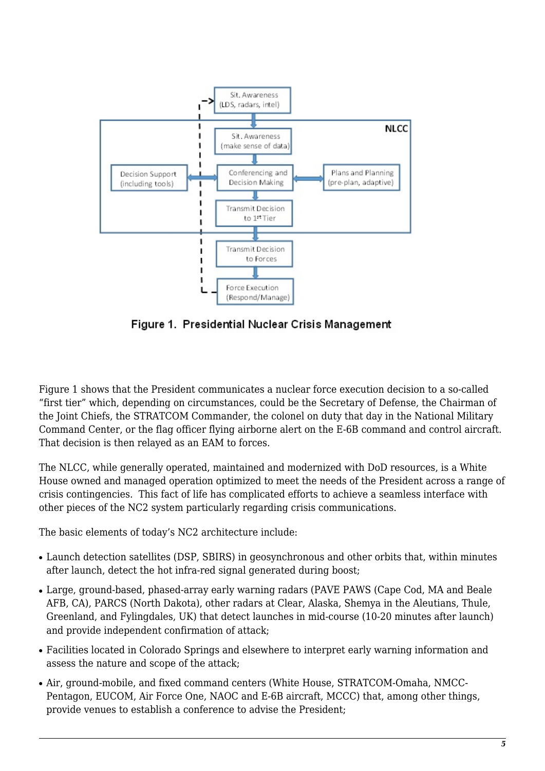

Figure 1. Presidential Nuclear Crisis Management

Figure 1 shows that the President communicates a nuclear force execution decision to a so-called "first tier" which, depending on circumstances, could be the Secretary of Defense, the Chairman of the Joint Chiefs, the STRATCOM Commander, the colonel on duty that day in the National Military Command Center, or the flag officer flying airborne alert on the E-6B command and control aircraft. That decision is then relayed as an EAM to forces.

The NLCC, while generally operated, maintained and modernized with DoD resources, is a White House owned and managed operation optimized to meet the needs of the President across a range of crisis contingencies. This fact of life has complicated efforts to achieve a seamless interface with other pieces of the NC2 system particularly regarding crisis communications.

The basic elements of today's NC2 architecture include:

- Launch detection satellites (DSP, SBIRS) in geosynchronous and other orbits that, within minutes after launch, detect the hot infra-red signal generated during boost;
- Large, ground-based, phased-array early warning radars (PAVE PAWS (Cape Cod, MA and Beale AFB, CA), PARCS (North Dakota), other radars at Clear, Alaska, Shemya in the Aleutians, Thule, Greenland, and Fylingdales, UK) that detect launches in mid-course (10-20 minutes after launch) and provide independent confirmation of attack;
- Facilities located in Colorado Springs and elsewhere to interpret early warning information and assess the nature and scope of the attack;
- Air, ground-mobile, and fixed command centers (White House, STRATCOM-Omaha, NMCC-Pentagon, EUCOM, Air Force One, NAOC and E-6B aircraft, MCCC) that, among other things, provide venues to establish a conference to advise the President;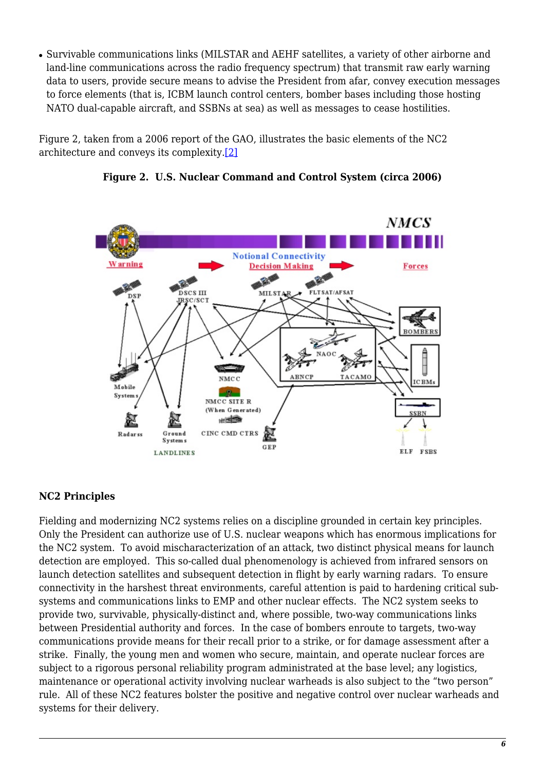• Survivable communications links (MILSTAR and AEHF satellites, a variety of other airborne and land-line communications across the radio frequency spectrum) that transmit raw early warning data to users, provide secure means to advise the President from afar, convey execution messages to force elements (that is, ICBM launch control centers, bomber bases including those hosting NATO dual-capable aircraft, and SSBNs at sea) as well as messages to cease hostilities.

<span id="page-5-0"></span>Figure 2, taken from a 2006 report of the GAO, illustrates the basic elements of the NC2 architecture and conveys its complexity.[\[2\]](#page-13-1)



**Figure 2. U.S. Nuclear Command and Control System (circa 2006)**

#### **NC2 Principles**

Fielding and modernizing NC2 systems relies on a discipline grounded in certain key principles. Only the President can authorize use of U.S. nuclear weapons which has enormous implications for the NC2 system. To avoid mischaracterization of an attack, two distinct physical means for launch detection are employed. This so-called dual phenomenology is achieved from infrared sensors on launch detection satellites and subsequent detection in flight by early warning radars. To ensure connectivity in the harshest threat environments, careful attention is paid to hardening critical subsystems and communications links to EMP and other nuclear effects. The NC2 system seeks to provide two, survivable, physically-distinct and, where possible, two-way communications links between Presidential authority and forces. In the case of bombers enroute to targets, two-way communications provide means for their recall prior to a strike, or for damage assessment after a strike. Finally, the young men and women who secure, maintain, and operate nuclear forces are subject to a rigorous personal reliability program administrated at the base level; any logistics, maintenance or operational activity involving nuclear warheads is also subject to the "two person" rule. All of these NC2 features bolster the positive and negative control over nuclear warheads and systems for their delivery.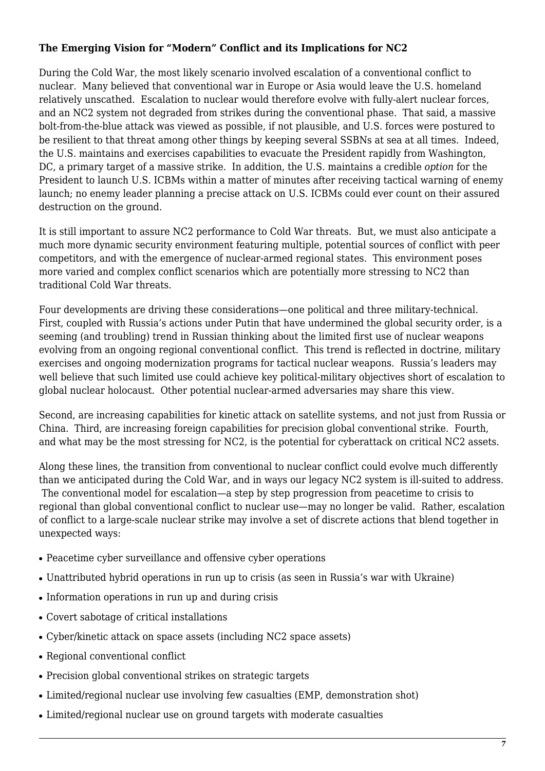#### **The Emerging Vision for "Modern" Conflict and its Implications for NC2**

During the Cold War, the most likely scenario involved escalation of a conventional conflict to nuclear. Many believed that conventional war in Europe or Asia would leave the U.S. homeland relatively unscathed. Escalation to nuclear would therefore evolve with fully-alert nuclear forces, and an NC2 system not degraded from strikes during the conventional phase. That said, a massive bolt-from-the-blue attack was viewed as possible, if not plausible, and U.S. forces were postured to be resilient to that threat among other things by keeping several SSBNs at sea at all times. Indeed, the U.S. maintains and exercises capabilities to evacuate the President rapidly from Washington, DC, a primary target of a massive strike. In addition, the U.S. maintains a credible *option* for the President to launch U.S. ICBMs within a matter of minutes after receiving tactical warning of enemy launch; no enemy leader planning a precise attack on U.S. ICBMs could ever count on their assured destruction on the ground.

It is still important to assure NC2 performance to Cold War threats. But, we must also anticipate a much more dynamic security environment featuring multiple, potential sources of conflict with peer competitors, and with the emergence of nuclear-armed regional states. This environment poses more varied and complex conflict scenarios which are potentially more stressing to NC2 than traditional Cold War threats.

Four developments are driving these considerations—one political and three military-technical. First, coupled with Russia's actions under Putin that have undermined the global security order, is a seeming (and troubling) trend in Russian thinking about the limited first use of nuclear weapons evolving from an ongoing regional conventional conflict. This trend is reflected in doctrine, military exercises and ongoing modernization programs for tactical nuclear weapons. Russia's leaders may well believe that such limited use could achieve key political-military objectives short of escalation to global nuclear holocaust. Other potential nuclear-armed adversaries may share this view.

Second, are increasing capabilities for kinetic attack on satellite systems, and not just from Russia or China. Third, are increasing foreign capabilities for precision global conventional strike. Fourth, and what may be the most stressing for NC2, is the potential for cyberattack on critical NC2 assets.

Along these lines, the transition from conventional to nuclear conflict could evolve much differently than we anticipated during the Cold War, and in ways our legacy NC2 system is ill-suited to address. The conventional model for escalation—a step by step progression from peacetime to crisis to regional than global conventional conflict to nuclear use—may no longer be valid. Rather, escalation of conflict to a large-scale nuclear strike may involve a set of discrete actions that blend together in unexpected ways:

- Peacetime cyber surveillance and offensive cyber operations
- Unattributed hybrid operations in run up to crisis (as seen in Russia's war with Ukraine)
- Information operations in run up and during crisis
- Covert sabotage of critical installations
- Cyber/kinetic attack on space assets (including NC2 space assets)
- Regional conventional conflict
- Precision global conventional strikes on strategic targets
- Limited/regional nuclear use involving few casualties (EMP, demonstration shot)
- Limited/regional nuclear use on ground targets with moderate casualties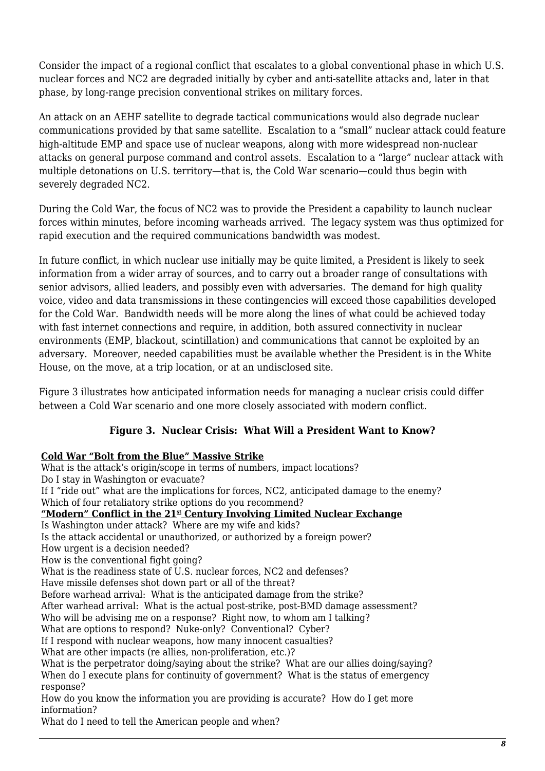Consider the impact of a regional conflict that escalates to a global conventional phase in which U.S. nuclear forces and NC2 are degraded initially by cyber and anti-satellite attacks and, later in that phase, by long-range precision conventional strikes on military forces.

An attack on an AEHF satellite to degrade tactical communications would also degrade nuclear communications provided by that same satellite. Escalation to a "small" nuclear attack could feature high-altitude EMP and space use of nuclear weapons, along with more widespread non-nuclear attacks on general purpose command and control assets. Escalation to a "large" nuclear attack with multiple detonations on U.S. territory—that is, the Cold War scenario—could thus begin with severely degraded NC2.

During the Cold War, the focus of NC2 was to provide the President a capability to launch nuclear forces within minutes, before incoming warheads arrived. The legacy system was thus optimized for rapid execution and the required communications bandwidth was modest.

In future conflict, in which nuclear use initially may be quite limited, a President is likely to seek information from a wider array of sources, and to carry out a broader range of consultations with senior advisors, allied leaders, and possibly even with adversaries. The demand for high quality voice, video and data transmissions in these contingencies will exceed those capabilities developed for the Cold War. Bandwidth needs will be more along the lines of what could be achieved today with fast internet connections and require, in addition, both assured connectivity in nuclear environments (EMP, blackout, scintillation) and communications that cannot be exploited by an adversary. Moreover, needed capabilities must be available whether the President is in the White House, on the move, at a trip location, or at an undisclosed site.

Figure 3 illustrates how anticipated information needs for managing a nuclear crisis could differ between a Cold War scenario and one more closely associated with modern conflict.

# **Figure 3. Nuclear Crisis: What Will a President Want to Know?**

#### **Cold War "Bolt from the Blue" Massive Strike**

What is the attack's origin/scope in terms of numbers, impact locations? Do I stay in Washington or evacuate? If I "ride out" what are the implications for forces, NC2, anticipated damage to the enemy? Which of four retaliatory strike options do you recommend? **"Modern" Conflict in the 21st Century Involving Limited Nuclear Exchange** Is Washington under attack? Where are my wife and kids? Is the attack accidental or unauthorized, or authorized by a foreign power? How urgent is a decision needed? How is the conventional fight going? What is the readiness state of U.S. nuclear forces, NC2 and defenses? Have missile defenses shot down part or all of the threat? Before warhead arrival: What is the anticipated damage from the strike? After warhead arrival: What is the actual post-strike, post-BMD damage assessment? Who will be advising me on a response? Right now, to whom am I talking? What are options to respond? Nuke-only? Conventional? Cyber? If I respond with nuclear weapons, how many innocent casualties? What are other impacts (re allies, non-proliferation, etc.)? What is the perpetrator doing/saying about the strike? What are our allies doing/saying? When do I execute plans for continuity of government? What is the status of emergency response? How do you know the information you are providing is accurate? How do I get more information?

What do I need to tell the American people and when?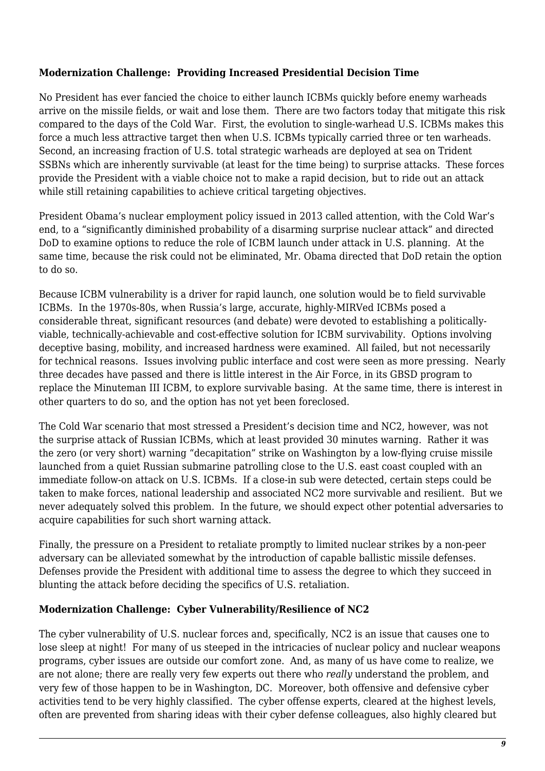#### **Modernization Challenge: Providing Increased Presidential Decision Time**

No President has ever fancied the choice to either launch ICBMs quickly before enemy warheads arrive on the missile fields, or wait and lose them. There are two factors today that mitigate this risk compared to the days of the Cold War. First, the evolution to single-warhead U.S. ICBMs makes this force a much less attractive target then when U.S. ICBMs typically carried three or ten warheads. Second, an increasing fraction of U.S. total strategic warheads are deployed at sea on Trident SSBNs which are inherently survivable (at least for the time being) to surprise attacks. These forces provide the President with a viable choice not to make a rapid decision, but to ride out an attack while still retaining capabilities to achieve critical targeting objectives.

President Obama's nuclear employment policy issued in 2013 called attention, with the Cold War's end, to a "significantly diminished probability of a disarming surprise nuclear attack" and directed DoD to examine options to reduce the role of ICBM launch under attack in U.S. planning. At the same time, because the risk could not be eliminated, Mr. Obama directed that DoD retain the option to do so.

Because ICBM vulnerability is a driver for rapid launch, one solution would be to field survivable ICBMs. In the 1970s-80s, when Russia's large, accurate, highly-MIRVed ICBMs posed a considerable threat, significant resources (and debate) were devoted to establishing a politicallyviable, technically-achievable and cost-effective solution for ICBM survivability. Options involving deceptive basing, mobility, and increased hardness were examined. All failed, but not necessarily for technical reasons. Issues involving public interface and cost were seen as more pressing. Nearly three decades have passed and there is little interest in the Air Force, in its GBSD program to replace the Minuteman III ICBM, to explore survivable basing. At the same time, there is interest in other quarters to do so, and the option has not yet been foreclosed.

The Cold War scenario that most stressed a President's decision time and NC2, however, was not the surprise attack of Russian ICBMs, which at least provided 30 minutes warning. Rather it was the zero (or very short) warning "decapitation" strike on Washington by a low-flying cruise missile launched from a quiet Russian submarine patrolling close to the U.S. east coast coupled with an immediate follow-on attack on U.S. ICBMs. If a close-in sub were detected, certain steps could be taken to make forces, national leadership and associated NC2 more survivable and resilient. But we never adequately solved this problem. In the future, we should expect other potential adversaries to acquire capabilities for such short warning attack.

Finally, the pressure on a President to retaliate promptly to limited nuclear strikes by a non-peer adversary can be alleviated somewhat by the introduction of capable ballistic missile defenses. Defenses provide the President with additional time to assess the degree to which they succeed in blunting the attack before deciding the specifics of U.S. retaliation.

#### **Modernization Challenge: Cyber Vulnerability/Resilience of NC2**

The cyber vulnerability of U.S. nuclear forces and, specifically, NC2 is an issue that causes one to lose sleep at night! For many of us steeped in the intricacies of nuclear policy and nuclear weapons programs, cyber issues are outside our comfort zone. And, as many of us have come to realize, we are not alone; there are really very few experts out there who *really* understand the problem, and very few of those happen to be in Washington, DC. Moreover, both offensive and defensive cyber activities tend to be very highly classified. The cyber offense experts, cleared at the highest levels, often are prevented from sharing ideas with their cyber defense colleagues, also highly cleared but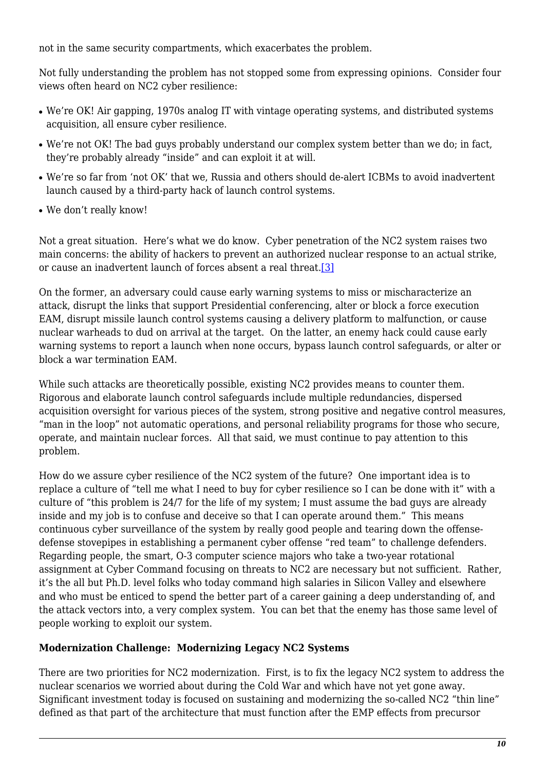not in the same security compartments, which exacerbates the problem.

Not fully understanding the problem has not stopped some from expressing opinions. Consider four views often heard on NC2 cyber resilience:

- We're OK! Air gapping, 1970s analog IT with vintage operating systems, and distributed systems acquisition, all ensure cyber resilience.
- We're not OK! The bad guys probably understand our complex system better than we do; in fact, they're probably already "inside" and can exploit it at will.
- We're so far from 'not OK' that we, Russia and others should de-alert ICBMs to avoid inadvertent launch caused by a third-party hack of launch control systems.
- We don't really know!

Not a great situation. Here's what we do know. Cyber penetration of the NC2 system raises two main concerns: the ability of hackers to prevent an authorized nuclear response to an actual strike, or cause an inadvertent launch of forces absent a real threat[.\[3\]](#page-13-2)

<span id="page-9-0"></span>On the former, an adversary could cause early warning systems to miss or mischaracterize an attack, disrupt the links that support Presidential conferencing, alter or block a force execution EAM, disrupt missile launch control systems causing a delivery platform to malfunction, or cause nuclear warheads to dud on arrival at the target. On the latter, an enemy hack could cause early warning systems to report a launch when none occurs, bypass launch control safeguards, or alter or block a war termination EAM.

While such attacks are theoretically possible, existing NC2 provides means to counter them. Rigorous and elaborate launch control safeguards include multiple redundancies, dispersed acquisition oversight for various pieces of the system, strong positive and negative control measures, "man in the loop" not automatic operations, and personal reliability programs for those who secure, operate, and maintain nuclear forces. All that said, we must continue to pay attention to this problem.

How do we assure cyber resilience of the NC2 system of the future? One important idea is to replace a culture of "tell me what I need to buy for cyber resilience so I can be done with it" with a culture of "this problem is 24/7 for the life of my system; I must assume the bad guys are already inside and my job is to confuse and deceive so that I can operate around them." This means continuous cyber surveillance of the system by really good people and tearing down the offensedefense stovepipes in establishing a permanent cyber offense "red team" to challenge defenders. Regarding people, the smart, O-3 computer science majors who take a two-year rotational assignment at Cyber Command focusing on threats to NC2 are necessary but not sufficient. Rather, it's the all but Ph.D. level folks who today command high salaries in Silicon Valley and elsewhere and who must be enticed to spend the better part of a career gaining a deep understanding of, and the attack vectors into, a very complex system. You can bet that the enemy has those same level of people working to exploit our system.

# **Modernization Challenge: Modernizing Legacy NC2 Systems**

There are two priorities for NC2 modernization. First, is to fix the legacy NC2 system to address the nuclear scenarios we worried about during the Cold War and which have not yet gone away. Significant investment today is focused on sustaining and modernizing the so-called NC2 "thin line" defined as that part of the architecture that must function after the EMP effects from precursor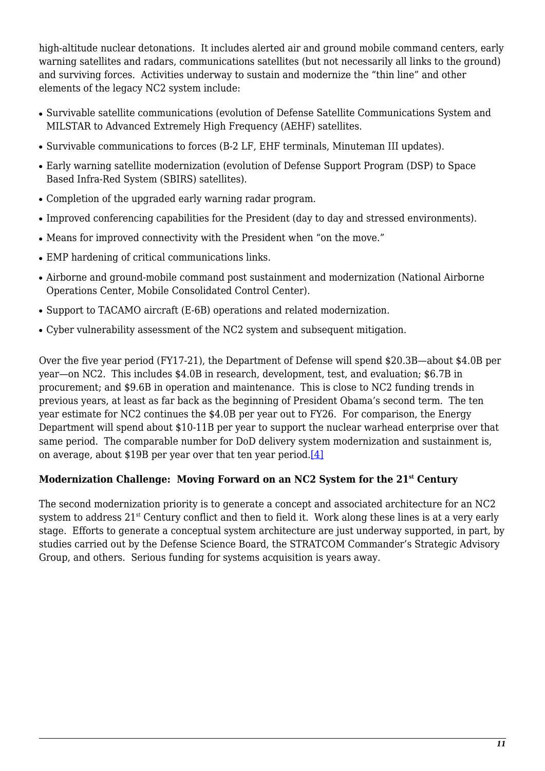high-altitude nuclear detonations. It includes alerted air and ground mobile command centers, early warning satellites and radars, communications satellites (but not necessarily all links to the ground) and surviving forces. Activities underway to sustain and modernize the "thin line" and other elements of the legacy NC2 system include:

- Survivable satellite communications (evolution of Defense Satellite Communications System and MILSTAR to Advanced Extremely High Frequency (AEHF) satellites.
- Survivable communications to forces (B-2 LF, EHF terminals, Minuteman III updates).
- Early warning satellite modernization (evolution of Defense Support Program (DSP) to Space Based Infra-Red System (SBIRS) satellites).
- Completion of the upgraded early warning radar program.
- Improved conferencing capabilities for the President (day to day and stressed environments).
- Means for improved connectivity with the President when "on the move."
- EMP hardening of critical communications links.
- Airborne and ground-mobile command post sustainment and modernization (National Airborne Operations Center, Mobile Consolidated Control Center).
- Support to TACAMO aircraft (E-6B) operations and related modernization.
- Cyber vulnerability assessment of the NC2 system and subsequent mitigation.

Over the five year period (FY17-21), the Department of Defense will spend \$20.3B—about \$4.0B per year—on NC2. This includes \$4.0B in research, development, test, and evaluation; \$6.7B in procurement; and \$9.6B in operation and maintenance. This is close to NC2 funding trends in previous years, at least as far back as the beginning of President Obama's second term. The ten year estimate for NC2 continues the \$4.0B per year out to FY26. For comparison, the Energy Department will spend about \$10-11B per year to support the nuclear warhead enterprise over that same period. The comparable number for DoD delivery system modernization and sustainment is, on average, about \$19B per year over that ten year period. $[4]$ 

# <span id="page-10-0"></span>**Modernization Challenge: Moving Forward on an NC2 System for the 21st Century**

The second modernization priority is to generate a concept and associated architecture for an NC2 system to address 21<sup>st</sup> Century conflict and then to field it. Work along these lines is at a very early stage. Efforts to generate a conceptual system architecture are just underway supported, in part, by studies carried out by the Defense Science Board, the STRATCOM Commander's Strategic Advisory Group, and others. Serious funding for systems acquisition is years away.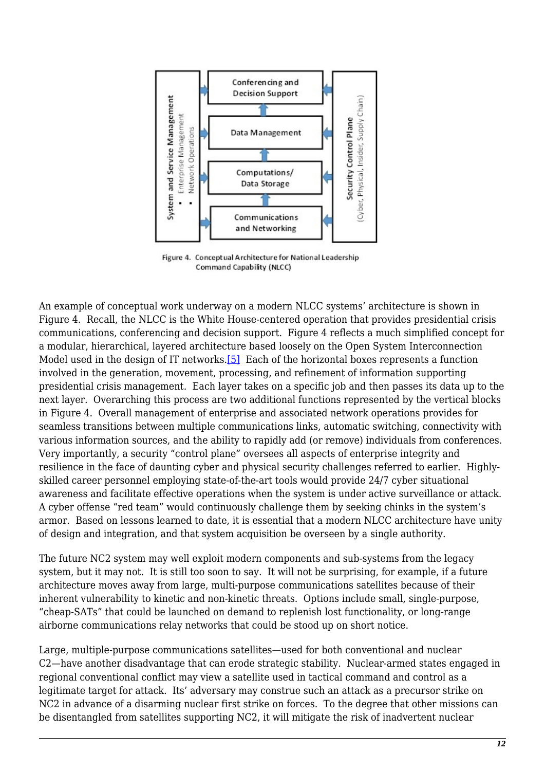

Figure 4. Conceptual Architecture for National Leadership **Command Capability (NLCC)** 

<span id="page-11-0"></span>An example of conceptual work underway on a modern NLCC systems' architecture is shown in Figure 4. Recall, the NLCC is the White House-centered operation that provides presidential crisis communications, conferencing and decision support. Figure 4 reflects a much simplified concept for a modular, hierarchical, layered architecture based loosely on the Open System Interconnection Model used in the design of IT networks.<sup>[5]</sup> Each of the horizontal boxes represents a function involved in the generation, movement, processing, and refinement of information supporting presidential crisis management. Each layer takes on a specific job and then passes its data up to the next layer. Overarching this process are two additional functions represented by the vertical blocks in Figure 4. Overall management of enterprise and associated network operations provides for seamless transitions between multiple communications links, automatic switching, connectivity with various information sources, and the ability to rapidly add (or remove) individuals from conferences. Very importantly, a security "control plane" oversees all aspects of enterprise integrity and resilience in the face of daunting cyber and physical security challenges referred to earlier. Highlyskilled career personnel employing state-of-the-art tools would provide 24/7 cyber situational awareness and facilitate effective operations when the system is under active surveillance or attack. A cyber offense "red team" would continuously challenge them by seeking chinks in the system's armor. Based on lessons learned to date, it is essential that a modern NLCC architecture have unity of design and integration, and that system acquisition be overseen by a single authority.

The future NC2 system may well exploit modern components and sub-systems from the legacy system, but it may not. It is still too soon to say. It will not be surprising, for example, if a future architecture moves away from large, multi-purpose communications satellites because of their inherent vulnerability to kinetic and non-kinetic threats. Options include small, single-purpose, "cheap-SATs" that could be launched on demand to replenish lost functionality, or long-range airborne communications relay networks that could be stood up on short notice.

<span id="page-11-1"></span>Large, multiple-purpose communications satellites—used for both conventional and nuclear C2—have another disadvantage that can erode strategic stability. Nuclear-armed states engaged in regional conventional conflict may view a satellite used in tactical command and control as a legitimate target for attack. Its' adversary may construe such an attack as a precursor strike on NC2 in advance of a disarming nuclear first strike on forces. To the degree that other missions can be disentangled from satellites supporting NC2, it will mitigate the risk of inadvertent nuclear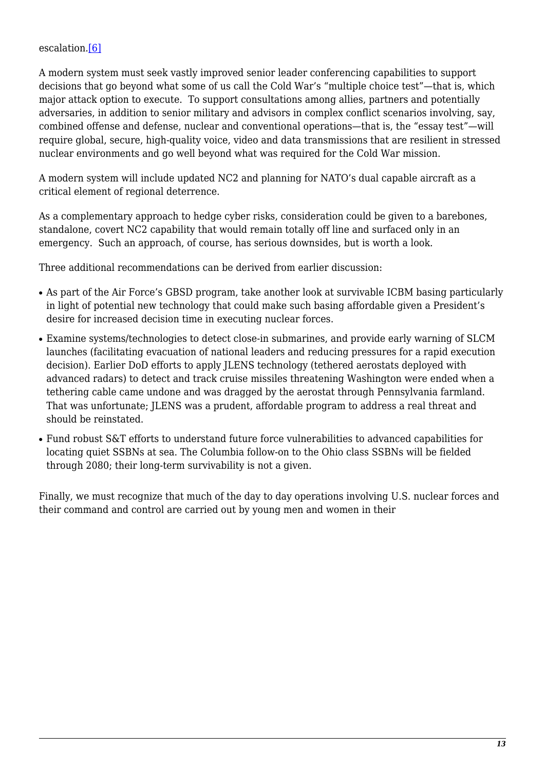#### escalation.[\[6\]](#page-14-2)

A modern system must seek vastly improved senior leader conferencing capabilities to support decisions that go beyond what some of us call the Cold War's "multiple choice test"—that is, which major attack option to execute. To support consultations among allies, partners and potentially adversaries, in addition to senior military and advisors in complex conflict scenarios involving, say, combined offense and defense, nuclear and conventional operations—that is, the "essay test"—will require global, secure, high-quality voice, video and data transmissions that are resilient in stressed nuclear environments and go well beyond what was required for the Cold War mission.

A modern system will include updated NC2 and planning for NATO's dual capable aircraft as a critical element of regional deterrence.

As a complementary approach to hedge cyber risks, consideration could be given to a barebones, standalone, covert NC2 capability that would remain totally off line and surfaced only in an emergency. Such an approach, of course, has serious downsides, but is worth a look.

Three additional recommendations can be derived from earlier discussion:

- As part of the Air Force's GBSD program, take another look at survivable ICBM basing particularly in light of potential new technology that could make such basing affordable given a President's desire for increased decision time in executing nuclear forces.
- Examine systems/technologies to detect close-in submarines, and provide early warning of SLCM launches (facilitating evacuation of national leaders and reducing pressures for a rapid execution decision). Earlier DoD efforts to apply JLENS technology (tethered aerostats deployed with advanced radars) to detect and track cruise missiles threatening Washington were ended when a tethering cable came undone and was dragged by the aerostat through Pennsylvania farmland. That was unfortunate; JLENS was a prudent, affordable program to address a real threat and should be reinstated.
- Fund robust S&T efforts to understand future force vulnerabilities to advanced capabilities for locating quiet SSBNs at sea. The Columbia follow-on to the Ohio class SSBNs will be fielded through 2080; their long-term survivability is not a given.

Finally, we must recognize that much of the day to day operations involving U.S. nuclear forces and their command and control are carried out by young men and women in their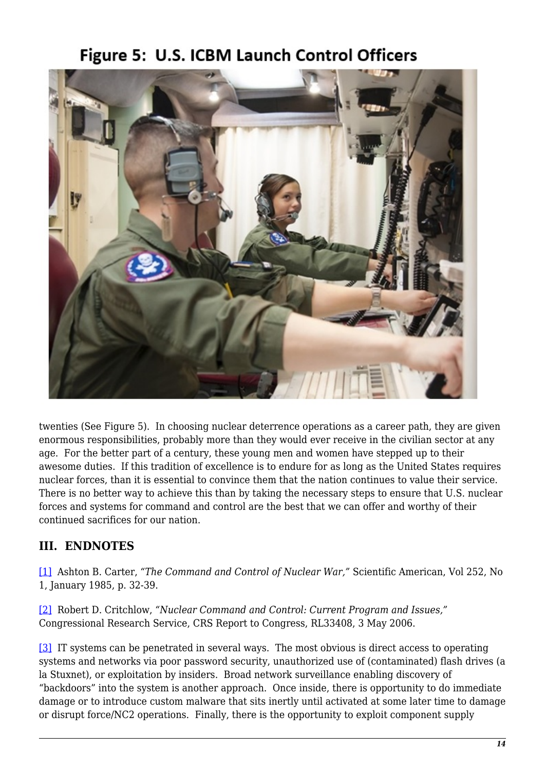# Figure 5: U.S. ICBM Launch Control Officers



twenties (See Figure 5). In choosing nuclear deterrence operations as a career path, they are given enormous responsibilities, probably more than they would ever receive in the civilian sector at any age. For the better part of a century, these young men and women have stepped up to their awesome duties. If this tradition of excellence is to endure for as long as the United States requires nuclear forces, than it is essential to convince them that the nation continues to value their service. There is no better way to achieve this than by taking the necessary steps to ensure that U.S. nuclear forces and systems for command and control are the best that we can offer and worthy of their continued sacrifices for our nation.

# **III. ENDNOTES**

<span id="page-13-0"></span>[\[1\]](#page-2-0) Ashton B. Carter, *"The Command and Control of Nuclear War,"* Scientific American, Vol 252, No 1, January 1985, p. 32-39.

<span id="page-13-1"></span>[\[2\]](#page-5-0) Robert D. Critchlow, *"Nuclear Command and Control: Current Program and Issues,"* Congressional Research Service, CRS Report to Congress, RL33408, 3 May 2006.

<span id="page-13-2"></span>[\[3\]](#page-9-0) IT systems can be penetrated in several ways. The most obvious is direct access to operating systems and networks via poor password security, unauthorized use of (contaminated) flash drives (a la Stuxnet), or exploitation by insiders. Broad network surveillance enabling discovery of "backdoors" into the system is another approach. Once inside, there is opportunity to do immediate damage or to introduce custom malware that sits inertly until activated at some later time to damage or disrupt force/NC2 operations. Finally, there is the opportunity to exploit component supply